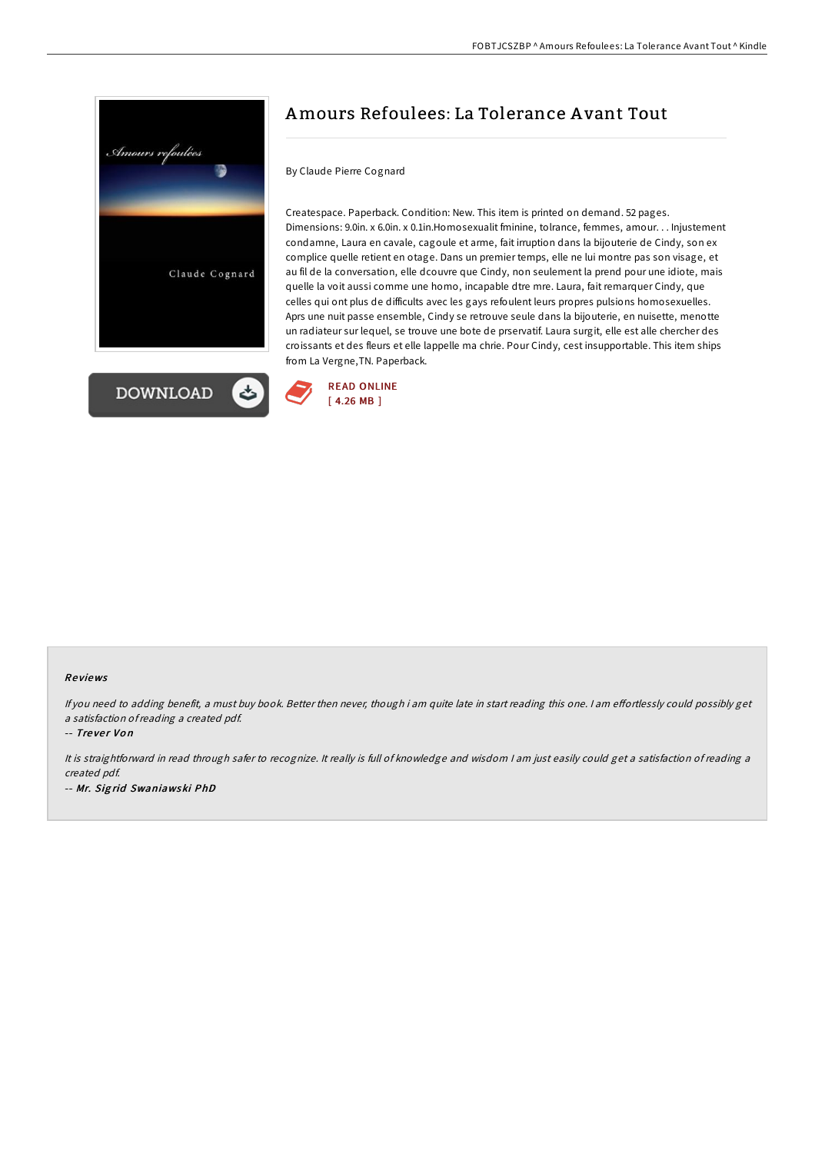

**DOWNLOAD** 



## By Claude Pierre Cognard

Createspace. Paperback. Condition: New. This item is printed on demand. 52 pages. Dimensions: 9.0in. x 6.0in. x 0.1in.Homosexualit fminine, tolrance, femmes, amour. . . Injustement condamne, Laura en cavale, cagoule et arme, fait irruption dans la bijouterie de Cindy, son ex complice quelle retient en otage. Dans un premier temps, elle ne lui montre pas son visage, et au fil de la conversation, elle dcouvre que Cindy, non seulement la prend pour une idiote, mais quelle la voit aussi comme une homo, incapable dtre mre. Laura, fait remarquer Cindy, que celles qui ont plus de difficults avec les gays refoulent leurs propres pulsions homosexuelles. Aprs une nuit passe ensemble, Cindy se retrouve seule dans la bijouterie, en nuisette, menotte un radiateur sur lequel, se trouve une bote de prservatif. Laura surgit, elle est alle chercher des croissants et des fleurs et elle lappelle ma chrie. Pour Cindy, cest insupportable. This item ships from La Vergne,TN. Paperback.



## Re views

If you need to adding benefit, a must buy book. Better then never, though i am quite late in start reading this one. I am effortlessly could possibly get <sup>a</sup> satisfaction ofreading <sup>a</sup> created pdf.

-- Trever Von

It is straightforward in read through safer to recognize. It really is full of knowledge and wisdom <sup>I</sup> am just easily could get <sup>a</sup> satisfaction of reading <sup>a</sup> created pdf. -- Mr. Sig rid Swaniawski PhD